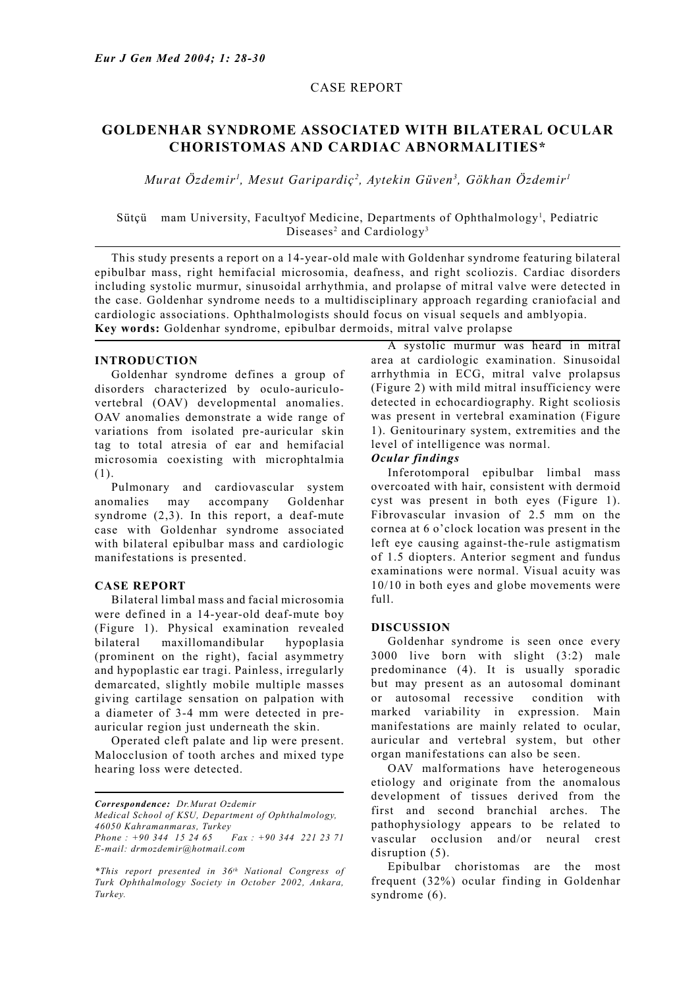## CASE REPORT

# **GOLDENHAR SYNDROME ASSOCIATED WITH BILATERAL OCULAR CHORISTOMAS AND CARDIAC ABNORMALITIES\***

*Murat Özdemir1 , Mesut Garipardiç2 , Aytekin Güven3 , Gökhan Özdemir1*

## Sütçü mam University, Facultyof Medicine, Departments of Ophthalmology<sup>1</sup>, Pediatric Diseases<sup>2</sup> and Cardiology<sup>3</sup>

 This study presents a report on a 14-year-old male with Goldenhar syndrome featuring bilateral epibulbar mass, right hemifacial microsomia, deafness, and right scoliozis. Cardiac disorders including systolic murmur, sinusoidal arrhythmia, and prolapse of mitral valve were detected in the case. Goldenhar syndrome needs to a multidisciplinary approach regarding craniofacial and cardiologic associations. Ophthalmologists should focus on visual sequels and amblyopia. **Key words:** Goldenhar syndrome, epibulbar dermoids, mitral valve prolapse

## **INTRODUCTION**

 Goldenhar syndrome defines a group of disorders characterized by oculo-auriculovertebral (OAV) developmental anomalies. OAV anomalies demonstrate a wide range of variations from isolated pre-auricular skin tag to total atresia of ear and hemifacial microsomia coexisting with microphtalmia (1).

 Pulmonary and cardiovascular system anomalies may accompany Goldenhar syndrome (2,3). In this report, a deaf-mute case with Goldenhar syndrome associated with bilateral epibulbar mass and cardiologic manifestations is presented.

## **CASE REPORT**

 Bilateral limbal mass and facial microsomia were defined in a 14-year-old deaf-mute boy (Figure 1). Physical examination revealed bilateral maxillomandibular hypoplasia (prominent on the right), facial asymmetry and hypoplastic ear tragi. Painless, irregularly demarcated, slightly mobile multiple masses giving cartilage sensation on palpation with a diameter of 3-4 mm were detected in preauricular region just underneath the skin.

 Operated cleft palate and lip were present. Malocclusion of tooth arches and mixed type hearing loss were detected.

*Correspondence: Dr.Murat Ozdemir*

*Medical School of KSU, Department of Ophthalmology, 46050 Kahramanmaras, Turkey*

 A systolic murmur was heard in mitral area at cardiologic examination. Sinusoidal arrhythmia in ECG, mitral valve prolapsus (Figure 2) with mild mitral insufficiency were detected in echocardiography. Right scoliosis was present in vertebral examination (Figure 1). Genitourinary system, extremities and the level of intelligence was normal.

#### *Ocular findings*

 Inferotomporal epibulbar limbal mass overcoated with hair, consistent with dermoid cyst was present in both eyes (Figure 1). Fibrovascular invasion of 2.5 mm on the cornea at 6 o'clock location was present in the left eye causing against-the-rule astigmatism of 1.5 diopters. Anterior segment and fundus examinations were normal. Visual acuity was 10/10 in both eyes and globe movements were full.

### **DISCUSSION**

 Goldenhar syndrome is seen once every 3000 live born with slight (3:2) male predominance (4). It is usually sporadic but may present as an autosomal dominant or autosomal recessive condition with marked variability in expression. Main manifestations are mainly related to ocular, auricular and vertebral system, but other organ manifestations can also be seen.

 OAV malformations have heterogeneous etiology and originate from the anomalous development of tissues derived from the first and second branchial arches. The pathophysiology appears to be related to vascular occlusion and/or neural crest disruption  $(5)$ .

 Epibulbar choristomas are the most frequent (32%) ocular finding in Goldenhar syndrome  $(6)$ .

*Phone : +90 344 15 24 65 Fax : +90 344 221 23 71 E-mail: drmozdemir@hotmail.com*

*<sup>\*</sup>This report presented in 36th National Congress of Turk Ophthalmology Society in October 2002, Ankara, Turkey.*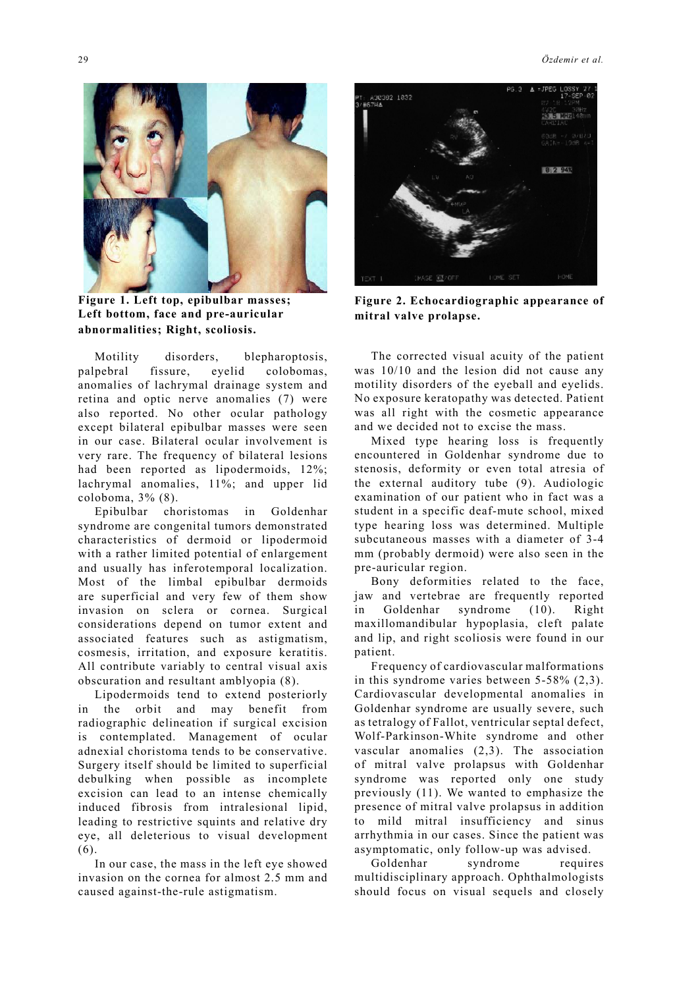**Figure 1. Left top, epibulbar masses; Left bottom, face and pre-auricular abnormalities; Right, scoliosis.** 

 Motility disorders, blepharoptosis, palpebral fissure, eyelid colobomas, anomalies of lachrymal drainage system and retina and optic nerve anomalies (7) were also reported. No other ocular pathology except bilateral epibulbar masses were seen in our case. Bilateral ocular involvement is very rare. The frequency of bilateral lesions had been reported as lipodermoids, 12%; lachrymal anomalies, 11%; and upper lid coloboma, 3% (8).

 Epibulbar choristomas in Goldenhar syndrome are congenital tumors demonstrated characteristics of dermoid or lipodermoid with a rather limited potential of enlargement and usually has inferotemporal localization. Most of the limbal epibulbar dermoids are superficial and very few of them show invasion on sclera or cornea. Surgical considerations depend on tumor extent and associated features such as astigmatism, cosmesis, irritation, and exposure keratitis. All contribute variably to central visual axis obscuration and resultant amblyopia (8).

 Lipodermoids tend to extend posteriorly in the orbit and may benefit from radiographic delineation if surgical excision is contemplated. Management of ocular adnexial choristoma tends to be conservative. Surgery itself should be limited to superficial debulking when possible as incomplete excision can lead to an intense chemically induced fibrosis from intralesional lipid, leading to restrictive squints and relative dry eye, all deleterious to visual development (6).

 In our case, the mass in the left eye showed invasion on the cornea for almost 2.5 mm and caused against-the-rule astigmatism.



**Figure 2. Echocardiographic appearance of mitral valve prolapse.**

 The corrected visual acuity of the patient was 10/10 and the lesion did not cause any motility disorders of the eyeball and eyelids. No exposure keratopathy was detected. Patient was all right with the cosmetic appearance and we decided not to excise the mass.

 Mixed type hearing loss is frequently encountered in Goldenhar syndrome due to stenosis, deformity or even total atresia of the external auditory tube (9). Audiologic examination of our patient who in fact was a student in a specific deaf-mute school, mixed type hearing loss was determined. Multiple subcutaneous masses with a diameter of 3-4 mm (probably dermoid) were also seen in the pre-auricular region.

 Bony deformities related to the face, jaw and vertebrae are frequently reported in Goldenhar syndrome (10). Right maxillomandibular hypoplasia, cleft palate and lip, and right scoliosis were found in our patient.

 Frequency of cardiovascular malformations in this syndrome varies between 5-58% (2,3). Cardiovascular developmental anomalies in Goldenhar syndrome are usually severe, such as tetralogy of Fallot, ventricular septal defect, Wolf-Parkinson-White syndrome and other vascular anomalies (2,3). The association of mitral valve prolapsus with Goldenhar syndrome was reported only one study previously (11). We wanted to emphasize the presence of mitral valve prolapsus in addition to mild mitral insufficiency and sinus arrhythmia in our cases. Since the patient was asymptomatic, only follow-up was advised.

 Goldenhar syndrome requires multidisciplinary approach. Ophthalmologists should focus on visual sequels and closely